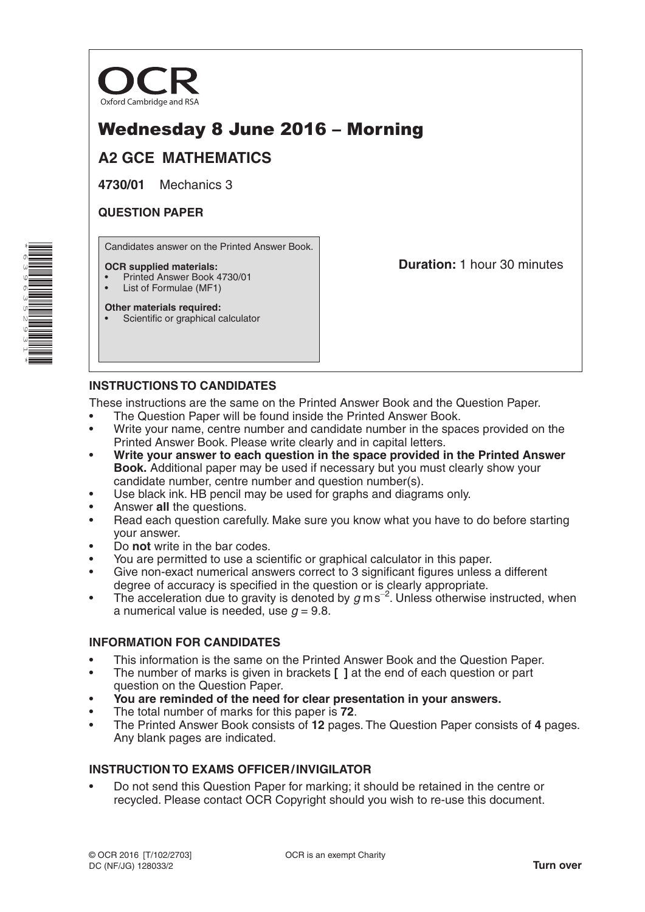

# Wednesday 8 June 2016 – Morning

## **A2 GCE MATHEMATICS**

**4730/01** Mechanics 3

### **QUESTION PAPER**

Candidates answer on the Printed Answer Book.

#### **OCR supplied materials:**

- Printed Answer Book 4730/01
- List of Formulae (MF1) **Other materials required:**

**Duration:** 1 hour 30 minutes

### **INSTRUCTIONS TO CANDIDATES**

Scientific or graphical calculator

These instructions are the same on the Printed Answer Book and the Question Paper.

- The Question Paper will be found inside the Printed Answer Book.
- Write your name, centre number and candidate number in the spaces provided on the Printed Answer Book. Please write clearly and in capital letters.
- **Write your answer to each question in the space provided in the Printed Answer Book.** Additional paper may be used if necessary but you must clearly show your candidate number, centre number and question number(s).
- Use black ink. HB pencil may be used for graphs and diagrams only.
- Answer **all** the questions.
- Read each question carefully. Make sure you know what you have to do before starting your answer.
- Do **not** write in the bar codes.
- You are permitted to use a scientific or graphical calculator in this paper.
- Give non-exact numerical answers correct to 3 significant figures unless a different degree of accuracy is specified in the question or is clearly appropriate.
- The acceleration due to gravity is denoted by  $g$  ms<sup>-2</sup>. Unless otherwise instructed, when a numerical value is needed, use  $q = 9.8$ .

#### **INFORMATION FOR CANDIDATES**

- This information is the same on the Printed Answer Book and the Question Paper.
- The number of marks is given in brackets **[ ]** at the end of each question or part question on the Question Paper.
- **You are reminded of the need for clear presentation in your answers.**
- The total number of marks for this paper is **72**.
- The Printed Answer Book consists of **12** pages. The Question Paper consists of **4** pages. Any blank pages are indicated.

### **INSTRUCTION TO EXAMS OFFICER/INVIGILATOR**

• Do not send this Question Paper for marking; it should be retained in the centre or recycled. Please contact OCR Copyright should you wish to re-use this document.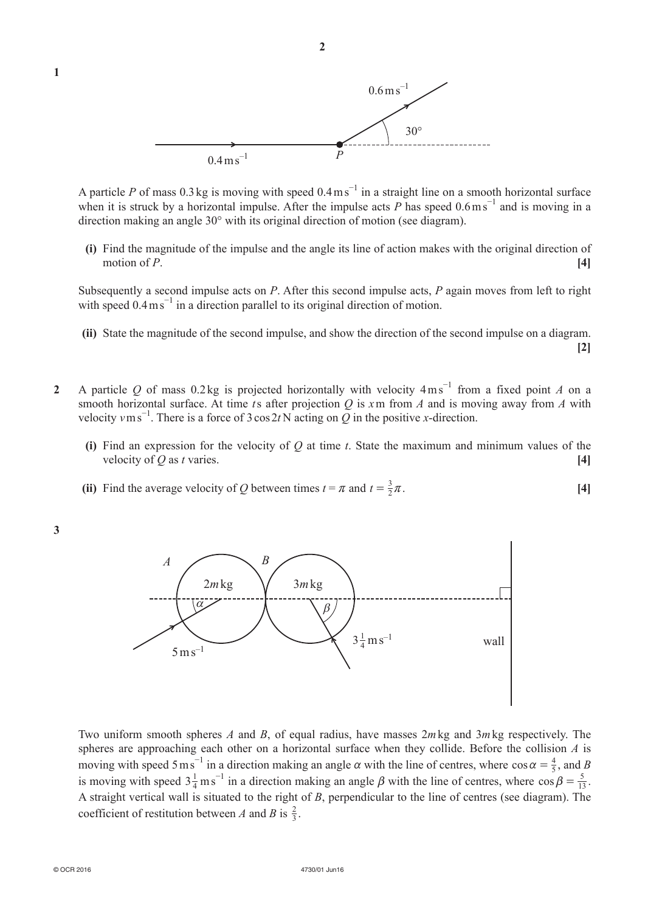

A particle *P* of mass 0.3 kg is moving with speed  $0.4 \text{ m s}^{-1}$  in a straight line on a smooth horizontal surface when it is struck by a horizontal impulse. After the impulse acts  $P$  has speed  $0.6 \text{ m s}^{-1}$  and is moving in a direction making an angle 30° with its original direction of motion (see diagram).

**(i)** Find the magnitude of the impulse and the angle its line of action makes with the original direction of motion of *P*. **[4]**

Subsequently a second impulse acts on *P*. After this second impulse acts, *P* again moves from left to right with speed  $0.4 \text{ m s}^{-1}$  in a direction parallel to its original direction of motion.

- **(ii)** State the magnitude of the second impulse, and show the direction of the second impulse on a diagram. **[2]**
- **2** A particle Q of mass 0.2kg is projected horizontally with velocity 4ms<sup>-1</sup> from a fixed point A on a smooth horizontal surface. At time *t*s after projection *Q* is *x*m from *A* and is moving away from *A* with velocity  $v \text{ m s}^{-1}$ . There is a force of 3 cos 2*t* N acting on  $\overline{Q}$  in the positive *x*-direction.
	- **(i)** Find an expression for the velocity of  $O$  at time  $t$ . State the maximum and minimum values of the velocity of *Q* as *t* varies.  $[4]$
- (ii) Find the average velocity of *Q* between times  $t = \pi$  and  $t = \frac{3}{2}\pi$ . [4]

**3** 

**1** 



Two uniform smooth spheres *A* and *B*, of equal radius, have masses 2*m*kg and 3*m*kg respectively. The spheres are approaching each other on a horizontal surface when they collide. Before the collision *A* is moving with speed 5 ms<sup>-1</sup> in a direction making an angle  $\alpha$  with the line of centres, where  $\cos \alpha = \frac{4}{5}$ , and *B* is moving with speed  $3\frac{1}{4}$  m s<sup>-1</sup> in a direction making an angle  $\beta$  with the line of centres, where  $\cos \beta = \frac{5}{13}$ . A straight vertical wall is situated to the right of *B*, perpendicular to the line of centres (see diagram). The coefficient of restitution between *A* and *B* is  $\frac{2}{3}$ .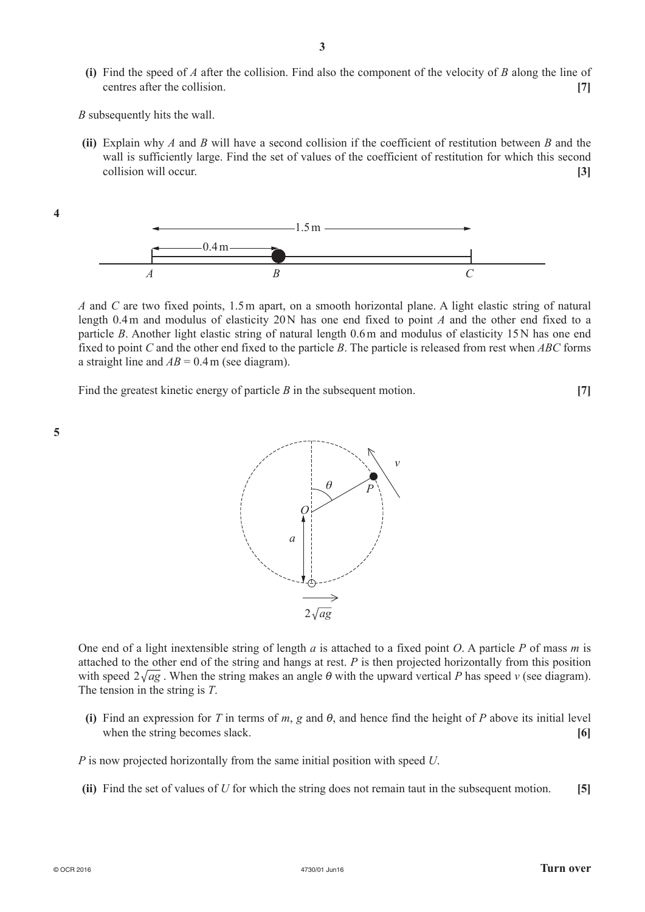**(i)** Find the speed of *A* after the collision. Find also the component of the velocity of *B* along the line of centres after the collision. **[7]** 

*B* subsequently hits the wall.

**(ii)** Explain why *A* and *B* will have a second collision if the coefficient of restitution between *B* and the wall is sufficiently large. Find the set of values of the coefficient of restitution for which this second collision will occur. **[3]**



*A* and *C* are two fixed points, 1.5m apart, on a smooth horizontal plane. A light elastic string of natural length 0.4m and modulus of elasticity 20N has one end fixed to point *A* and the other end fixed to a particle *B*. Another light elastic string of natural length 0.6m and modulus of elasticity 15N has one end fixed to point *C* and the other end fixed to the particle *B*. The particle is released from rest when *ABC* forms a straight line and  $AB = 0.4$  m (see diagram).

Find the greatest kinetic energy of particle *B* in the subsequent motion. **[7]**



**4** 



One end of a light inextensible string of length *a* is attached to a fixed point *O*. A particle *P* of mass *m* is attached to the other end of the string and hangs at rest. *P* is then projected horizontally from this position with speed  $2\sqrt{ag}$ . When the string makes an angle  $\theta$  with the upward vertical *P* has speed *v* (see diagram). The tension in the string is *T*.

**(i)** Find an expression for *T* in terms of *m*, *g* and  $\theta$ , and hence find the height of *P* above its initial level when the string becomes slack. **[6]** 

*P* is now projected horizontally from the same initial position with speed *U*.

**(ii)** Find the set of values of *U* for which the string does not remain taut in the subsequent motion. **[5]**